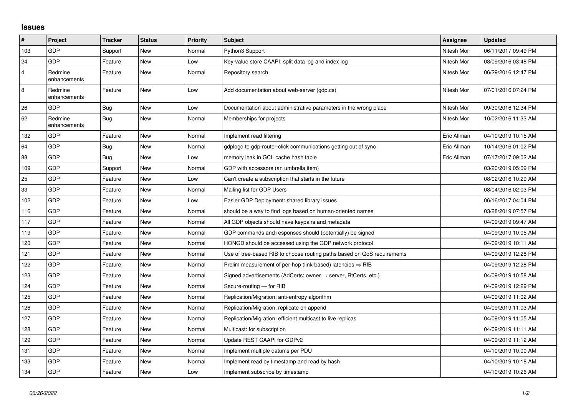## **Issues**

| $\sharp$       | <b>Project</b>          | <b>Tracker</b> | <b>Status</b> | <b>Priority</b> | <b>Subject</b>                                                          | <b>Assignee</b> | <b>Updated</b>      |
|----------------|-------------------------|----------------|---------------|-----------------|-------------------------------------------------------------------------|-----------------|---------------------|
| 103            | <b>GDP</b>              | Support        | <b>New</b>    | Normal          | Python3 Support                                                         | Nitesh Mor      | 06/11/2017 09:49 PM |
| 24             | <b>GDP</b>              | Feature        | <b>New</b>    | Low             | Key-value store CAAPI: split data log and index log                     | Nitesh Mor      | 08/09/2016 03:48 PM |
| $\overline{4}$ | Redmine<br>enhancements | Feature        | New           | Normal          | Repository search                                                       | Nitesh Mor      | 06/29/2016 12:47 PM |
| $\,8\,$        | Redmine<br>enhancements | Feature        | <b>New</b>    | Low             | Add documentation about web-server (gdp.cs)                             | Nitesh Mor      | 07/01/2016 07:24 PM |
| 26             | <b>GDP</b>              | Bug            | <b>New</b>    | Low             | Documentation about administrative parameters in the wrong place        | Nitesh Mor      | 09/30/2016 12:34 PM |
| 62             | Redmine<br>enhancements | Bug            | <b>New</b>    | Normal          | Memberships for projects                                                | Nitesh Mor      | 10/02/2016 11:33 AM |
| 132            | <b>GDP</b>              | Feature        | New           | Normal          | Implement read filtering                                                | Eric Allman     | 04/10/2019 10:15 AM |
| 64             | <b>GDP</b>              | Bug            | <b>New</b>    | Normal          | gdplogd to gdp-router-click communications getting out of sync          | Eric Allman     | 10/14/2016 01:02 PM |
| 88             | <b>GDP</b>              | Bug            | <b>New</b>    | Low             | memory leak in GCL cache hash table                                     | Eric Allman     | 07/17/2017 09:02 AM |
| 109            | <b>GDP</b>              | Support        | <b>New</b>    | Normal          | GDP with accessors (an umbrella item)                                   |                 | 03/20/2019 05:09 PM |
| 25             | <b>GDP</b>              | Feature        | <b>New</b>    | Low             | Can't create a subscription that starts in the future                   |                 | 08/02/2016 10:29 AM |
| 33             | <b>GDP</b>              | Feature        | <b>New</b>    | Normal          | Mailing list for GDP Users                                              |                 | 08/04/2016 02:03 PM |
| 102            | <b>GDP</b>              | Feature        | <b>New</b>    | Low             | Easier GDP Deployment: shared library issues                            |                 | 06/16/2017 04:04 PM |
| 116            | <b>GDP</b>              | Feature        | <b>New</b>    | Normal          | should be a way to find logs based on human-oriented names              |                 | 03/28/2019 07:57 PM |
| 117            | <b>GDP</b>              | Feature        | <b>New</b>    | Normal          | All GDP objects should have keypairs and metadata                       |                 | 04/09/2019 09:47 AM |
| 119            | <b>GDP</b>              | Feature        | <b>New</b>    | Normal          | GDP commands and responses should (potentially) be signed               |                 | 04/09/2019 10:05 AM |
| 120            | <b>GDP</b>              | Feature        | <b>New</b>    | Normal          | HONGD should be accessed using the GDP network protocol                 |                 | 04/09/2019 10:11 AM |
| 121            | <b>GDP</b>              | Feature        | <b>New</b>    | Normal          | Use of tree-based RIB to choose routing paths based on QoS requirements |                 | 04/09/2019 12:28 PM |
| 122            | <b>GDP</b>              | Feature        | <b>New</b>    | Normal          | Prelim measurement of per-hop (link-based) latencies $\Rightarrow$ RIB  |                 | 04/09/2019 12:28 PM |
| 123            | <b>GDP</b>              | Feature        | <b>New</b>    | Normal          | Signed advertisements (AdCerts: owner → server, RtCerts, etc.)          |                 | 04/09/2019 10:58 AM |
| 124            | GDP                     | Feature        | <b>New</b>    | Normal          | Secure-routing - for RIB                                                |                 | 04/09/2019 12:29 PM |
| 125            | <b>GDP</b>              | Feature        | <b>New</b>    | Normal          | Replication/Migration: anti-entropy algorithm                           |                 | 04/09/2019 11:02 AM |
| 126            | <b>GDP</b>              | Feature        | <b>New</b>    | Normal          | Replication/Migration: replicate on append                              |                 | 04/09/2019 11:03 AM |
| 127            | <b>GDP</b>              | Feature        | <b>New</b>    | Normal          | Replication/Migration: efficient multicast to live replicas             |                 | 04/09/2019 11:05 AM |
| 128            | <b>GDP</b>              | Feature        | <b>New</b>    | Normal          | Multicast: for subscription                                             |                 | 04/09/2019 11:11 AM |
| 129            | <b>GDP</b>              | Feature        | <b>New</b>    | Normal          | Update REST CAAPI for GDPv2                                             |                 | 04/09/2019 11:12 AM |
| 131            | <b>GDP</b>              | Feature        | New           | Normal          | Implement multiple datums per PDU                                       |                 | 04/10/2019 10:00 AM |
| 133            | GDP                     | Feature        | <b>New</b>    | Normal          | Implement read by timestamp and read by hash                            |                 | 04/10/2019 10:18 AM |
| 134            | GDP                     | Feature        | New           | Low             | Implement subscribe by timestamp                                        |                 | 04/10/2019 10:26 AM |